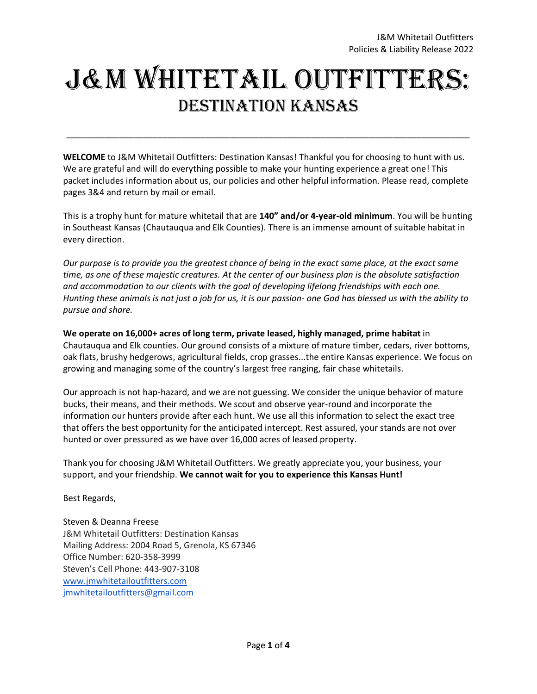# J&M Whitetail Outfitters: Destination Kansas

**WELCOME** to J&M Whitetail Outfitters: Destination Kansas! Thankful you for choosing to hunt with us. We are grateful and will do everything possible to make your hunting experience a great one! This packet includes information about us, our policies and other helpful information. Please read, complete pages 3&4 and return by mail or email.

\_\_\_\_\_\_\_\_\_\_\_\_\_\_\_\_\_\_\_\_\_\_\_\_\_\_\_\_\_\_\_\_\_\_\_\_\_\_\_\_\_\_\_\_\_\_\_\_\_\_\_\_\_\_\_\_\_\_\_\_\_\_\_\_\_\_\_\_\_\_\_\_\_\_\_\_\_\_\_\_\_\_\_\_

This is a trophy hunt for mature whitetail that are **140" and/or 4-year-old minimum**. You will be hunting in Southeast Kansas (Chautauqua and Elk Counties). There is an immense amount of suitable habitat in every direction.

*Our purpose is to provide you the greatest chance of being in the exact same place, at the exact same time, as one of these majestic creatures. At the center of our business plan is the absolute satisfaction and accommodation to our clients with the goal of developing lifelong friendships with each one.* Hunting these animals is not just a job for us, it is our passion- one God has blessed us with the ability to *pursue and share.*

**We operate on 16,000+ acres of long term, private leased, highly managed, prime habitat** in Chautauqua and Elk counties. Our ground consists of a mixture of mature timber, cedars, river bottoms, oak flats, brushy hedgerows, agricultural fields, crop grasses...the entire Kansas experience. We focus on growing and managing some of the country's largest free ranging, fair chase whitetails.

Our approach is not hap-hazard, and we are not guessing. We consider the unique behavior of mature bucks, their means, and their methods. We scout and observe year-round and incorporate the information our hunters provide after each hunt. We use all this information to select the exact tree that offers the best opportunity for the anticipated intercept. Rest assured, your stands are not over hunted or over pressured as we have over 16,000 acres of leased property.

Thank you for choosing J&M Whitetail Outfitters. We greatly appreciate you, your business, your support, and your friendship. **We cannot wait for you to experience this Kansas Hunt!**

Best Regards,

Steven & Deanna Freese J&M Whitetail Outfitters: Destination Kansas Mailing Address: 2004 Road 5, Grenola, KS 67346 Office Number: 620-358-3999 Steven's Cell Phone: 443-907-3108 [www.jmwhitetailoutfitters.com](http://www.jmwhitetailoutfitters.com/) [jmwhitetailoutfitters@gmail.com](mailto:jmwhitetailoutfitters@gmail.com)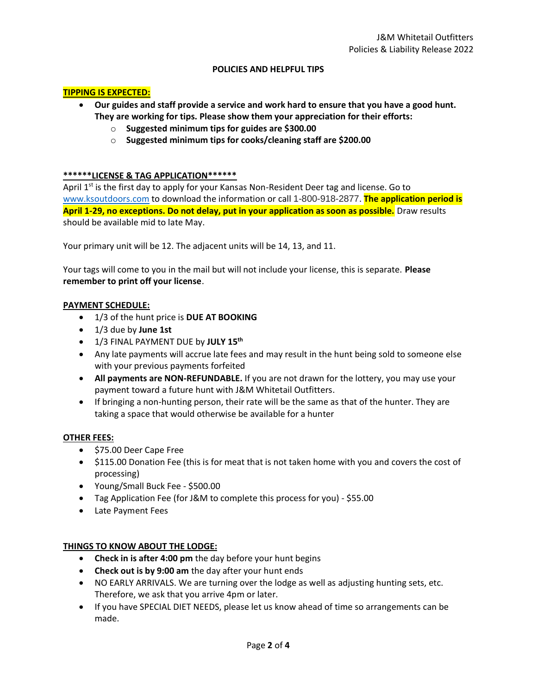# **POLICIES AND HELPFUL TIPS**

# **TIPPING IS EXPECTED:**

- **Our guides and staff provide a service and work hard to ensure that you have a good hunt. They are working for tips. Please show them your appreciation for their efforts:**
	- o **Suggested minimum tips for guides are \$300.00**
	- o **Suggested minimum tips for cooks/cleaning staff are \$200.00**

# **\*\*\*\*\*\*LICENSE & TAG APPLICATION\*\*\*\*\*\***

April 1<sup>st</sup> is the first day to apply for your Kansas Non-Resident Deer tag and license. Go to [www.ksoutdoors.com](http://www.ksoutdoors.com/) to download the information or call 1-800-918-2877. **The application period is April 1-29, no exceptions. Do not delay, put in your application as soon as possible.** Draw results should be available mid to late May.

Your primary unit will be 12. The adjacent units will be 14, 13, and 11.

Your tags will come to you in the mail but will not include your license, this is separate. **Please remember to print off your license**.

## **PAYMENT SCHEDULE:**

- 1/3 of the hunt price is **DUE AT BOOKING**
- 1/3 due by **June 1st**
- 1/3 FINAL PAYMENT DUE by **JULY 15 th**
- Any late payments will accrue late fees and may result in the hunt being sold to someone else with your previous payments forfeited
- **All payments are NON-REFUNDABLE.** If you are not drawn for the lottery, you may use your payment toward a future hunt with J&M Whitetail Outfitters.
- If bringing a non-hunting person, their rate will be the same as that of the hunter. They are taking a space that would otherwise be available for a hunter

#### **OTHER FEES:**

- \$75.00 Deer Cape Free
- \$115.00 Donation Fee (this is for meat that is not taken home with you and covers the cost of processing)
- Young/Small Buck Fee \$500.00
- Tag Application Fee (for J&M to complete this process for you) \$55.00
- Late Payment Fees

# **THINGS TO KNOW ABOUT THE LODGE:**

- **Check in is after 4:00 pm** the day before your hunt begins
- **Check out is by 9:00 am** the day after your hunt ends
- NO EARLY ARRIVALS. We are turning over the lodge as well as adjusting hunting sets, etc. Therefore, we ask that you arrive 4pm or later.
- If you have SPECIAL DIET NEEDS, please let us know ahead of time so arrangements can be made.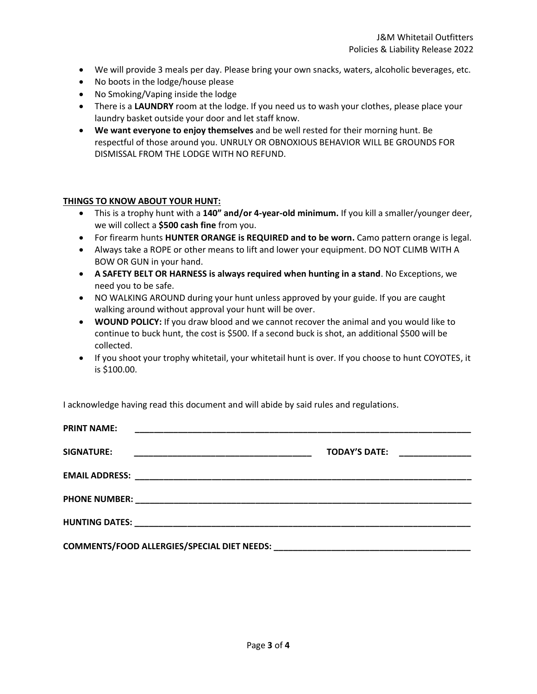- We will provide 3 meals per day. Please bring your own snacks, waters, alcoholic beverages, etc.
- No boots in the lodge/house please
- No Smoking/Vaping inside the lodge
- There is a **LAUNDRY** room at the lodge. If you need us to wash your clothes, please place your laundry basket outside your door and let staff know.
- **We want everyone to enjoy themselves** and be well rested for their morning hunt. Be respectful of those around you. UNRULY OR OBNOXIOUS BEHAVIOR WILL BE GROUNDS FOR DISMISSAL FROM THE LODGE WITH NO REFUND.

#### **THINGS TO KNOW ABOUT YOUR HUNT:**

- This is a trophy hunt with a **140" and/or 4-year-old minimum.** If you kill a smaller/younger deer, we will collect a **\$500 cash fine** from you.
- For firearm hunts **HUNTER ORANGE is REQUIRED and to be worn.** Camo pattern orange is legal.
- Always take a ROPE or other means to lift and lower your equipment. DO NOT CLIMB WITH A BOW OR GUN in your hand.
- **A SAFETY BELT OR HARNESS is always required when hunting in a stand**. No Exceptions, we need you to be safe.
- NO WALKING AROUND during your hunt unless approved by your guide. If you are caught walking around without approval your hunt will be over.
- **WOUND POLICY:** If you draw blood and we cannot recover the animal and you would like to continue to buck hunt, the cost is \$500. If a second buck is shot, an additional \$500 will be collected.
- If you shoot your trophy whitetail, your whitetail hunt is over. If you choose to hunt COYOTES, it is \$100.00.

I acknowledge having read this document and will abide by said rules and regulations.

| <b>PRINT NAME:</b> |                               |  |
|--------------------|-------------------------------|--|
| <b>SIGNATURE:</b>  | TODAY'S DATE: _______________ |  |
|                    |                               |  |
|                    |                               |  |
|                    |                               |  |
|                    |                               |  |